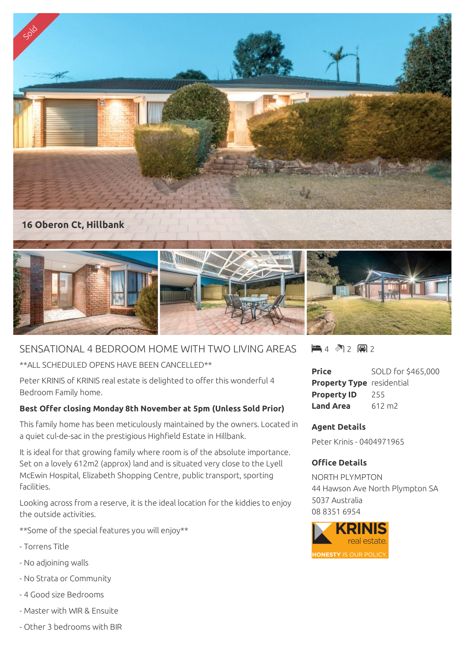

## SENSATIONAL 4 BEDROOM HOME WITH TWO LIVING AREAS

\*\*ALL SCHEDULED OPENS HAVE BEEN CANCELLED\*\*

Peter KRINIS of KRINIS real estate is delighted to offer this wonderful 4 Bedroom Family home.

## **Best Offer closing Monday 8th November at 5pm (Unless Sold Prior)**

This family home has been meticulously maintained by the owners. Located in a quiet cul-de-sac in the prestigious Highfield Estate in Hillbank.

It is ideal for that growing family where room is of the absolute importance. Set on a lovely 612m2 (approx) land and is situated very close to the Lyell McEwin Hospital, Elizabeth Shopping Centre, public transport, sporting facilities.

Looking across from a reserve, it is the ideal location for the kiddies to enjoy the outside activities.

\*\*Some of the special features you will enjoy\*\*

- Torrens Title
- No adjoining walls
- No Strata or Community
- 4 Good size Bedrooms
- Master with WIR & Ensuite
- Other 3 bedrooms with BIR

 $4$   $2$  2 a 2

**Price** SOLD for \$465,000 **Property Type** residential **Property ID** 255 **Land Area** 612 m2

## **Agent Details**

Peter Krinis - 0404971965

## **Office Details**

NORTH PLYMPTON 44 Hawson Ave North Plympton SA 5037 Australia 08 8351 6954